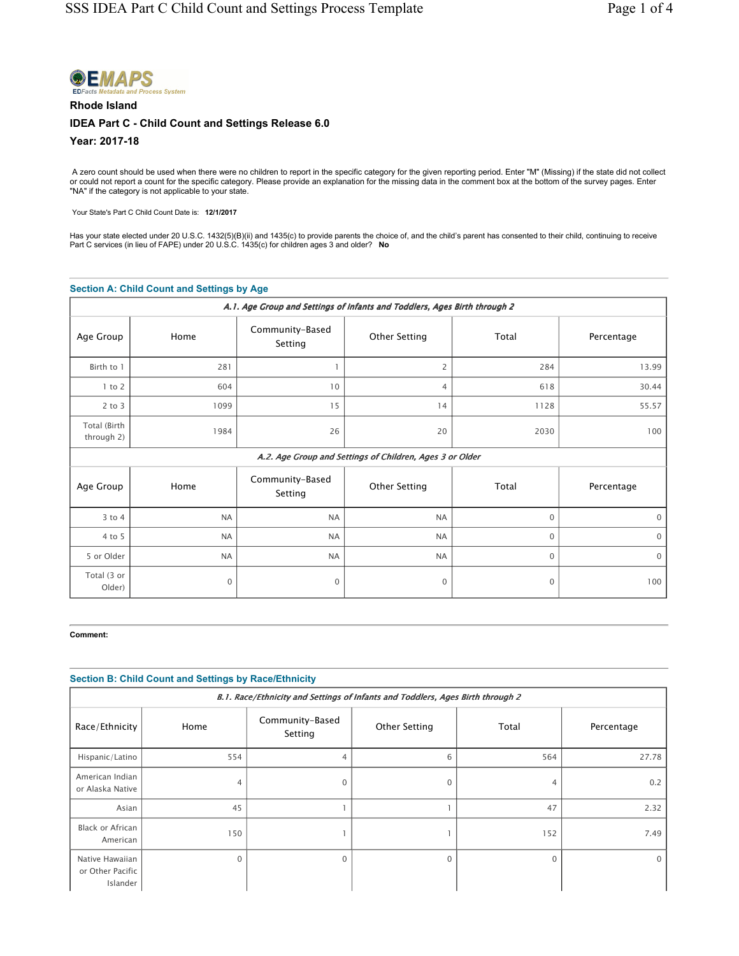

# Rhode Island IDEA Part C - Child Count and Settings Release 6.0 Year: 2017-18

A zero count should be used when there were no children to report in the specific category for the given reporting period. Enter "M" (Missing) if the state did not collect or could not report a count for the specific category. Please provide an explanation for the missing data in the comment box at the bottom of the survey pages. Enter<br>"NA" if the category is not applicable to your state.

Your State's Part C Child Count Date is: 12/1/2017

Has your state elected under 20 U.S.C. 1432(5)(B)(ii) and 1435(c) to provide parents the choice of, and the child's parent has consented to their child, continuing to receive<br>Part C services (in lieu of FAPE) under 20 U.S.

### Section A: Child Count and Settings by Age

| A.1. Age Group and Settings of Infants and Toddlers, Ages Birth through 2 |             |                            |                                                          |              |             |
|---------------------------------------------------------------------------|-------------|----------------------------|----------------------------------------------------------|--------------|-------------|
| Age Group                                                                 | Home        | Community-Based<br>Setting | <b>Other Setting</b>                                     | Total        | Percentage  |
| Birth to 1                                                                | 281         |                            | $\overline{c}$                                           | 284          | 13.99       |
| $1$ to $2$                                                                | 604         | 10                         | $\overline{4}$                                           | 618          | 30.44       |
| $2$ to $3$                                                                | 1099        | 15                         | 14                                                       | 1128         | 55.57       |
| Total (Birth<br>through 2)                                                | 1984        | 26                         | 20                                                       | 2030         | 100         |
|                                                                           |             |                            | A.2. Age Group and Settings of Children, Ages 3 or Older |              |             |
| Age Group                                                                 | Home        | Community-Based<br>Setting | <b>Other Setting</b>                                     | Total        | Percentage  |
| $3$ to $4$                                                                | <b>NA</b>   | <b>NA</b>                  | <b>NA</b>                                                | $\mathbf{0}$ | $\Omega$    |
| 4 to 5                                                                    | <b>NA</b>   | <b>NA</b>                  | <b>NA</b>                                                | $\mathbf{0}$ | $\mathbf 0$ |
| 5 or Older                                                                | <b>NA</b>   | <b>NA</b>                  | <b>NA</b>                                                | $\mathbf{0}$ | $\mathbf 0$ |
| Total (3 or<br>Older)                                                     | $\mathbf 0$ | $\mathbf 0$                | 0                                                        | $\mathbf 0$  | 100         |

Comment:

## Section B: Child Count and Settings by Race/Ethnicity

| B.1. Race/Ethnicity and Settings of Infants and Toddlers, Ages Birth through 2 |          |                            |               |          |            |
|--------------------------------------------------------------------------------|----------|----------------------------|---------------|----------|------------|
| Race/Ethnicity                                                                 | Home     | Community-Based<br>Setting | Other Setting | Total    | Percentage |
| Hispanic/Latino                                                                | 554      | 4                          | 6             | 564      | 27.78      |
| American Indian<br>or Alaska Native                                            | 4        | $\mathbf 0$                | $\Omega$      | 4        | 0.2        |
| Asian                                                                          | 45       |                            |               | 47       | 2.32       |
| Black or African<br>American                                                   | 150      |                            |               | 152      | 7.49       |
| Native Hawaiian<br>or Other Pacific<br>Islander                                | $\Omega$ | $\Omega$                   | $\Omega$      | $\Omega$ | $\Omega$   |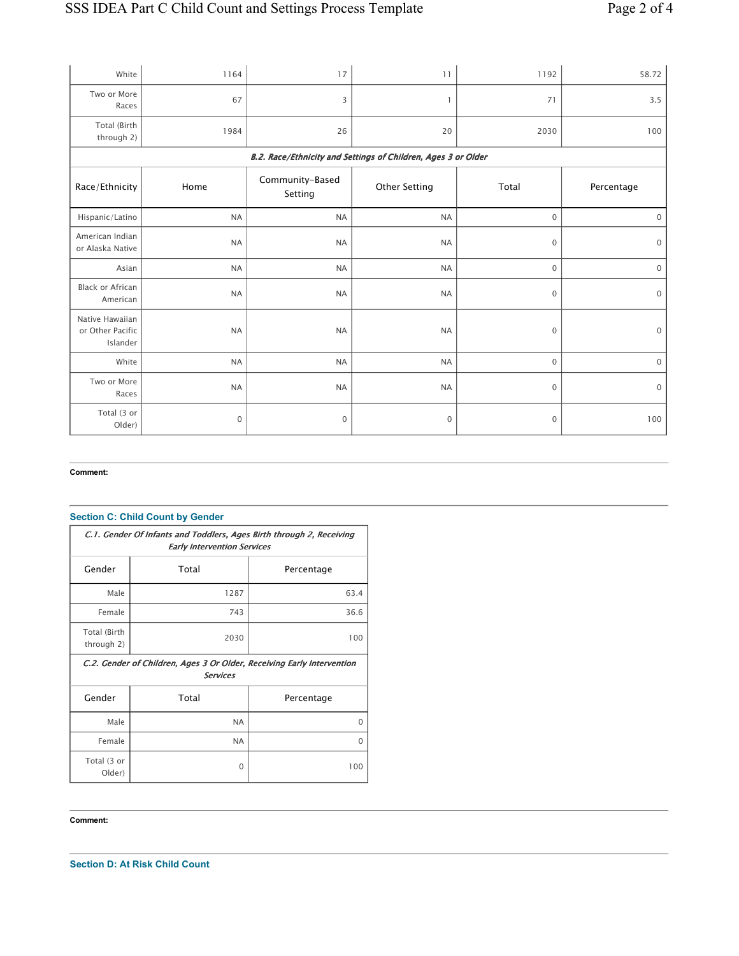| White                                           | 1164         | 17                         | 11                                                            | 1192                | 58.72               |
|-------------------------------------------------|--------------|----------------------------|---------------------------------------------------------------|---------------------|---------------------|
| Two or More<br>Races                            | 67           | 3                          | 1                                                             | 71                  | 3.5                 |
| Total (Birth<br>through 2)                      | 1984         | 26                         | 20                                                            | 2030                | 100                 |
|                                                 |              |                            | B.2. Race/Ethnicity and Settings of Children, Ages 3 or Older |                     |                     |
| Race/Ethnicity                                  | Home         | Community-Based<br>Setting | <b>Other Setting</b>                                          | Total               | Percentage          |
| Hispanic/Latino                                 | <b>NA</b>    | <b>NA</b>                  | <b>NA</b>                                                     | $\mathbf 0$         | $\mathsf{O}\xspace$ |
| American Indian<br>or Alaska Native             | <b>NA</b>    | <b>NA</b>                  | <b>NA</b>                                                     | 0                   | $\mathsf{O}\xspace$ |
| Asian                                           | <b>NA</b>    | <b>NA</b>                  | <b>NA</b>                                                     | 0                   | $\mathbf 0$         |
| <b>Black or African</b><br>American             | <b>NA</b>    | <b>NA</b>                  | <b>NA</b>                                                     | 0                   | $\boldsymbol{0}$    |
| Native Hawaiian<br>or Other Pacific<br>Islander | <b>NA</b>    | <b>NA</b>                  | <b>NA</b>                                                     | 0                   | $\mathsf{O}\xspace$ |
| White                                           | <b>NA</b>    | <b>NA</b>                  | <b>NA</b>                                                     | $\mathsf{O}\xspace$ | $\mathbf 0$         |
| Two or More<br>Races                            | <b>NA</b>    | <b>NA</b>                  | <b>NA</b>                                                     | 0                   | $\mathsf{O}\xspace$ |
| Total (3 or<br>Older)                           | $\mathbf{0}$ | $\mathbf 0$                | $\mathbf 0$                                                   | 0                   | 100                 |

### Comment:

# Section C: Child Count by Gender

| C.1. Gender Of Infants and Toddlers, Ages Birth through 2, Receiving<br><b>Early Intervention Services</b> |           |            |  |  |
|------------------------------------------------------------------------------------------------------------|-----------|------------|--|--|
| Gender                                                                                                     | Total     | Percentage |  |  |
| Male                                                                                                       | 1287      | 63.4       |  |  |
| Female                                                                                                     | 743       | 36.6       |  |  |
| Total (Birth<br>through 2)                                                                                 | 2030      | 100        |  |  |
| C.2. Gender of Children, Ages 3 Or Older, Receiving Early Intervention<br><b>Services</b>                  |           |            |  |  |
| Gender                                                                                                     | Total     | Percentage |  |  |
| Male                                                                                                       | <b>NA</b> | $\Omega$   |  |  |
| Female                                                                                                     | <b>NA</b> | $\Omega$   |  |  |
| Total (3 or<br>Older)                                                                                      | $\Omega$  | 100        |  |  |

Comment:

Section D: At Risk Child Count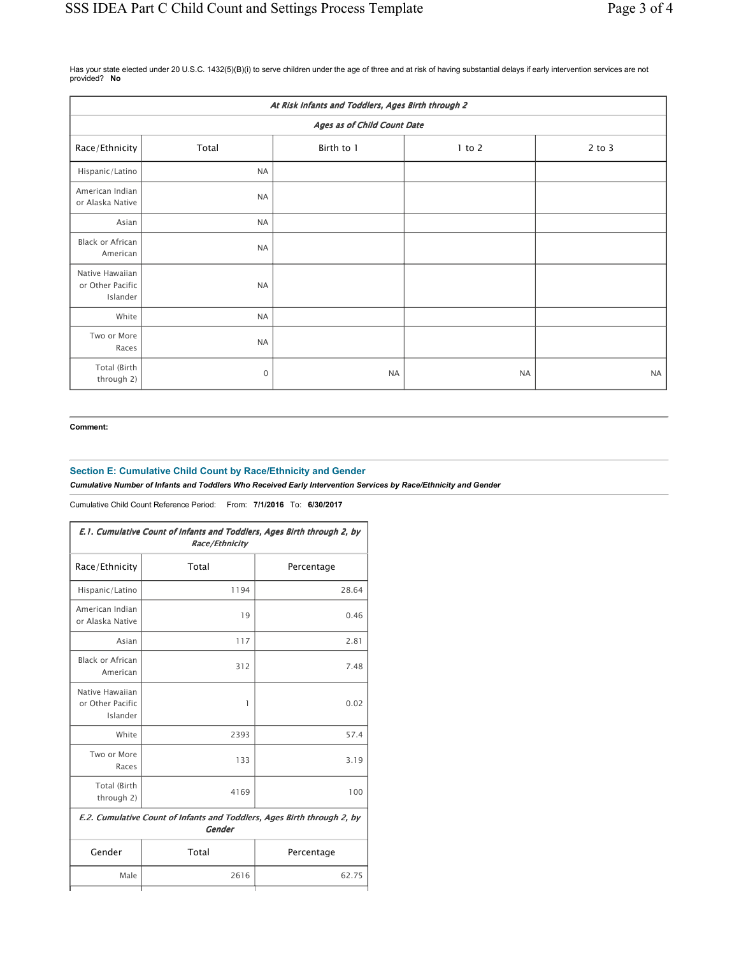Has your state elected under 20 U.S.C. 1432(5)(B)(i) to serve children under the age of three and at risk of having substantial delays if early intervention services are not provided? No

| At Risk Infants and Toddlers, Ages Birth through 2 |             |            |            |            |
|----------------------------------------------------|-------------|------------|------------|------------|
| Ages as of Child Count Date                        |             |            |            |            |
| Race/Ethnicity                                     | Total       | Birth to 1 | $1$ to $2$ | $2$ to $3$ |
| Hispanic/Latino                                    | <b>NA</b>   |            |            |            |
| American Indian<br>or Alaska Native                | <b>NA</b>   |            |            |            |
| Asian                                              | <b>NA</b>   |            |            |            |
| Black or African<br>American                       | <b>NA</b>   |            |            |            |
| Native Hawaiian<br>or Other Pacific<br>Islander    | <b>NA</b>   |            |            |            |
| White                                              | <b>NA</b>   |            |            |            |
| Two or More<br>Races                               | <b>NA</b>   |            |            |            |
| Total (Birth<br>through 2)                         | $\mathbf 0$ | <b>NA</b>  | <b>NA</b>  | <b>NA</b>  |

#### Comment:

# Section E: Cumulative Child Count by Race/Ethnicity and Gender

Cumulative Number of Infants and Toddlers Who Received Early Intervention Services by Race/Ethnicity and Gender

Cumulative Child Count Reference Period: From: 7/1/2016 To: 6/30/2017

| E.1. Cumulative Count of Infants and Toddlers, Ages Birth through 2, by<br>Race/Ethnicity |       |            |  |  |
|-------------------------------------------------------------------------------------------|-------|------------|--|--|
| Race/Ethnicity                                                                            | Total | Percentage |  |  |
| Hispanic/Latino                                                                           | 1194  | 28.64      |  |  |
| American Indian<br>or Alaska Native                                                       | 19    | 0.46       |  |  |
| Asian                                                                                     | 117   | 2.81       |  |  |
| <b>Black or African</b><br>American                                                       | 312   | 7.48       |  |  |
| Native Hawaiian<br>or Other Pacific<br>Islander                                           | 1     | 0.02       |  |  |
| White                                                                                     | 2393  | 57.4       |  |  |
| Two or More<br>Races                                                                      | 133   | 3.19       |  |  |
| Total (Birth<br>through 2)                                                                | 4169  | 100        |  |  |
| E.2. Cumulative Count of Infants and Toddlers, Ages Birth through 2, by<br><b>Gender</b>  |       |            |  |  |
| Gender                                                                                    | Total | Percentage |  |  |
| Male                                                                                      | 2616  | 62.75      |  |  |